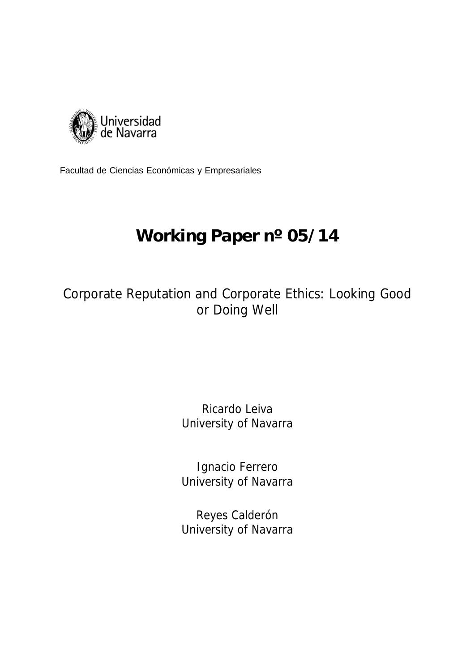

Facultad de Ciencias Económicas y Empresariales

# **Working Paper nº 05/14**

Corporate Reputation and Corporate Ethics: Looking Good or Doing Well

# Ricardo Leiva University of Navarra

Ignacio Ferrero University of Navarra

Reyes Calderón University of Navarra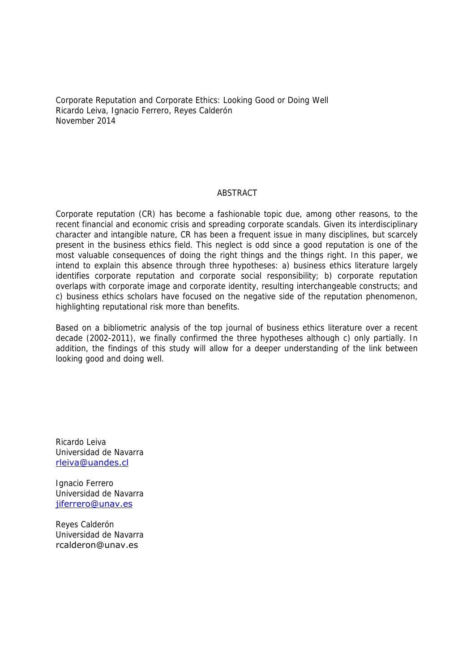Corporate Reputation and Corporate Ethics: Looking Good or Doing Well Ricardo Leiva, Ignacio Ferrero, Reyes Calderón November 2014

### **ABSTRACT**

Corporate reputation (CR) has become a fashionable topic due, among other reasons, to the recent financial and economic crisis and spreading corporate scandals. Given its interdisciplinary character and intangible nature, CR has been a frequent issue in many disciplines, but scarcely present in the business ethics field. This neglect is odd since a good reputation is one of the most valuable consequences of doing the right things and the things right. In this paper, we intend to explain this absence through three hypotheses: a) business ethics literature largely identifies corporate reputation and corporate social responsibility; b) corporate reputation overlaps with corporate image and corporate identity, resulting interchangeable constructs; and c) business ethics scholars have focused on the negative side of the reputation phenomenon, highlighting reputational risk more than benefits.

Based on a bibliometric analysis of the top journal of business ethics literature over a recent decade (2002-2011), we finally confirmed the three hypotheses although c) only partially. In addition, the findings of this study will allow for a deeper understanding of the link between looking good and doing well.

Ricardo Leiva Universidad de Navarra rleiva@uandes.cl

Ignacio Ferrero Universidad de Navarra jiferrero@unav.es

Reyes Calderón Universidad de Navarra rcalderon@unav.es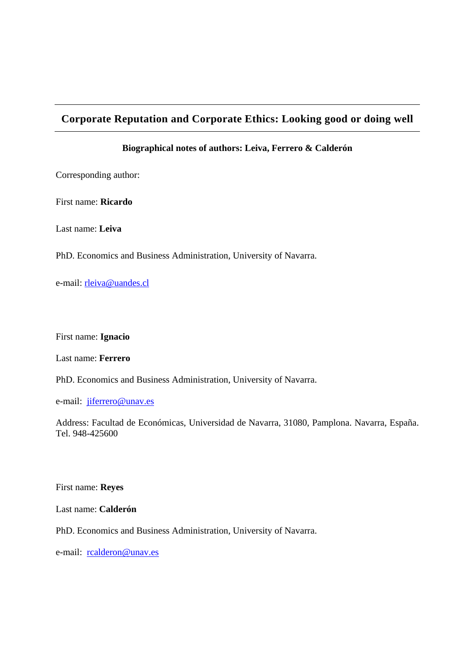# **Corporate Reputation and Corporate Ethics: Looking good or doing well**

# **Biographical notes of authors: Leiva, Ferrero & Calderón**

Corresponding author:

First name: **Ricardo**

Last name: **Leiva** 

PhD. Economics and Business Administration, University of Navarra.

e-mail: rleiva@uandes.cl

First name: **Ignacio** 

Last name: **Ferrero** 

PhD. Economics and Business Administration, University of Navarra.

e-mail: jiferrero@unav.es

Address: Facultad de Económicas, Universidad de Navarra, 31080, Pamplona. Navarra, España. Tel. 948-425600

First name: **Reyes** 

Last name: **Calderón** 

PhD. Economics and Business Administration, University of Navarra.

e-mail: rcalderon@unav.es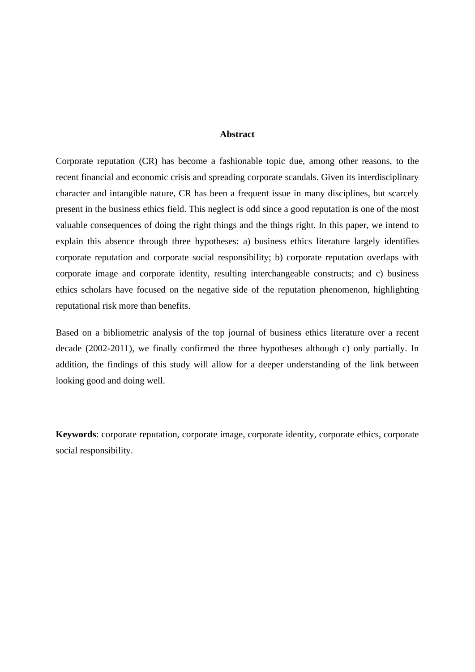### **Abstract**

Corporate reputation (CR) has become a fashionable topic due, among other reasons, to the recent financial and economic crisis and spreading corporate scandals. Given its interdisciplinary character and intangible nature, CR has been a frequent issue in many disciplines, but scarcely present in the business ethics field. This neglect is odd since a good reputation is one of the most valuable consequences of doing the right things and the things right. In this paper, we intend to explain this absence through three hypotheses: a) business ethics literature largely identifies corporate reputation and corporate social responsibility; b) corporate reputation overlaps with corporate image and corporate identity, resulting interchangeable constructs; and c) business ethics scholars have focused on the negative side of the reputation phenomenon, highlighting reputational risk more than benefits.

Based on a bibliometric analysis of the top journal of business ethics literature over a recent decade (2002-2011), we finally confirmed the three hypotheses although c) only partially. In addition, the findings of this study will allow for a deeper understanding of the link between looking good and doing well.

**Keywords**: corporate reputation, corporate image, corporate identity, corporate ethics, corporate social responsibility.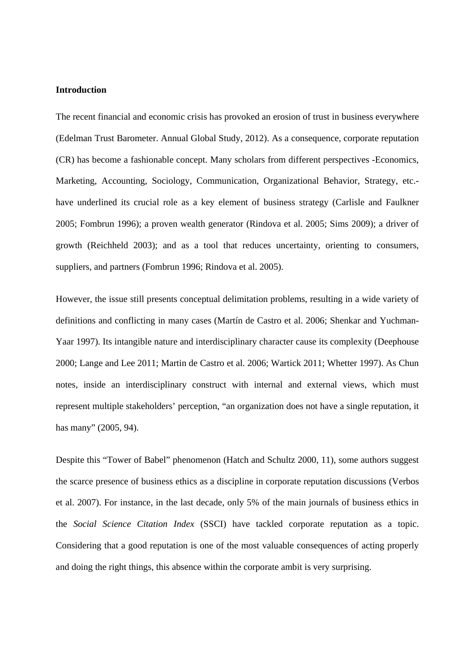#### **Introduction**

The recent financial and economic crisis has provoked an erosion of trust in business everywhere (Edelman Trust Barometer. Annual Global Study, 2012). As a consequence, corporate reputation (CR) has become a fashionable concept. Many scholars from different perspectives -Economics, Marketing, Accounting, Sociology, Communication, Organizational Behavior, Strategy, etc. have underlined its crucial role as a key element of business strategy (Carlisle and Faulkner 2005; Fombrun 1996); a proven wealth generator (Rindova et al. 2005; Sims 2009); a driver of growth (Reichheld 2003); and as a tool that reduces uncertainty, orienting to consumers, suppliers, and partners (Fombrun 1996; Rindova et al. 2005).

However, the issue still presents conceptual delimitation problems, resulting in a wide variety of definitions and conflicting in many cases (Martín de Castro et al. 2006; Shenkar and Yuchman-Yaar 1997). Its intangible nature and interdisciplinary character cause its complexity (Deephouse 2000; Lange and Lee 2011; Martin de Castro et al. 2006; Wartick 2011; Whetter 1997). As Chun notes, inside an interdisciplinary construct with internal and external views, which must represent multiple stakeholders' perception, "an organization does not have a single reputation, it has many" (2005, 94).

Despite this "Tower of Babel" phenomenon (Hatch and Schultz 2000, 11), some authors suggest the scarce presence of business ethics as a discipline in corporate reputation discussions (Verbos et al. 2007). For instance, in the last decade, only 5% of the main journals of business ethics in the *Social Science Citation Index* (SSCI) have tackled corporate reputation as a topic. Considering that a good reputation is one of the most valuable consequences of acting properly and doing the right things, this absence within the corporate ambit is very surprising.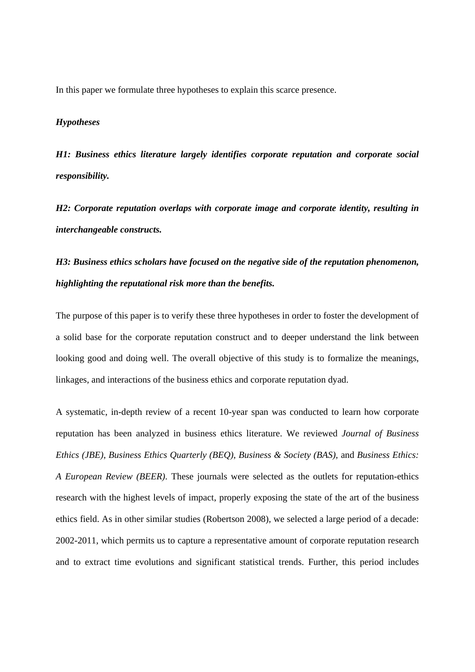In this paper we formulate three hypotheses to explain this scarce presence.

### *Hypotheses*

*H1: Business ethics literature largely identifies corporate reputation and corporate social responsibility.* 

*H2: Corporate reputation overlaps with corporate image and corporate identity, resulting in interchangeable constructs.* 

# *H3: Business ethics scholars have focused on the negative side of the reputation phenomenon, highlighting the reputational risk more than the benefits.*

The purpose of this paper is to verify these three hypotheses in order to foster the development of a solid base for the corporate reputation construct and to deeper understand the link between looking good and doing well. The overall objective of this study is to formalize the meanings, linkages, and interactions of the business ethics and corporate reputation dyad.

A systematic, in-depth review of a recent 10-year span was conducted to learn how corporate reputation has been analyzed in business ethics literature. We reviewed *Journal of Business Ethics (JBE), Business Ethics Quarterly (BEQ), Business & Society (BAS),* and *Business Ethics: A European Review (BEER)*. These journals were selected as the outlets for reputation-ethics research with the highest levels of impact, properly exposing the state of the art of the business ethics field. As in other similar studies (Robertson 2008), we selected a large period of a decade: 2002-2011, which permits us to capture a representative amount of corporate reputation research and to extract time evolutions and significant statistical trends. Further, this period includes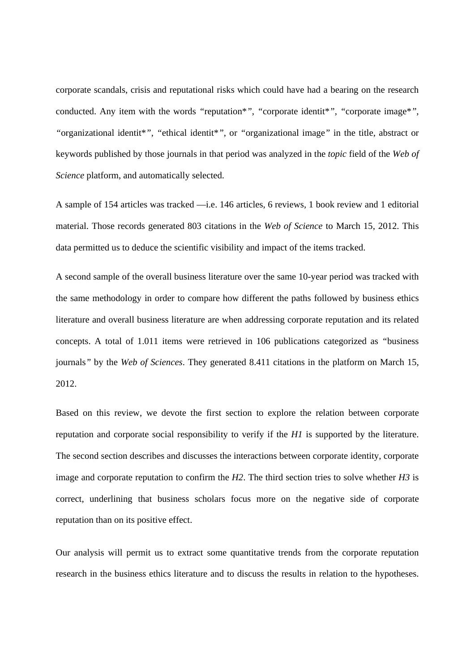corporate scandals, crisis and reputational risks which could have had a bearing on the research conducted. Any item with the words *"*reputation\**"*, *"*corporate identit\**"*, *"*corporate image\**"*, *"*organizational identit\**"*, *"*ethical identit\**"*, or *"*organizational image*"* in the title, abstract or keywords published by those journals in that period was analyzed in the *topic* field of the *Web of Science* platform, and automatically selected.

A sample of 154 articles was tracked —i.e. 146 articles, 6 reviews, 1 book review and 1 editorial material. Those records generated 803 citations in the *Web of Science* to March 15, 2012. This data permitted us to deduce the scientific visibility and impact of the items tracked.

A second sample of the overall business literature over the same 10-year period was tracked with the same methodology in order to compare how different the paths followed by business ethics literature and overall business literature are when addressing corporate reputation and its related concepts. A total of 1.011 items were retrieved in 106 publications categorized as *"*business journals*"* by the *Web of Sciences*. They generated 8.411 citations in the platform on March 15, 2012.

Based on this review, we devote the first section to explore the relation between corporate reputation and corporate social responsibility to verify if the *H1* is supported by the literature. The second section describes and discusses the interactions between corporate identity, corporate image and corporate reputation to confirm the *H2*. The third section tries to solve whether *H3* is correct, underlining that business scholars focus more on the negative side of corporate reputation than on its positive effect.

Our analysis will permit us to extract some quantitative trends from the corporate reputation research in the business ethics literature and to discuss the results in relation to the hypotheses.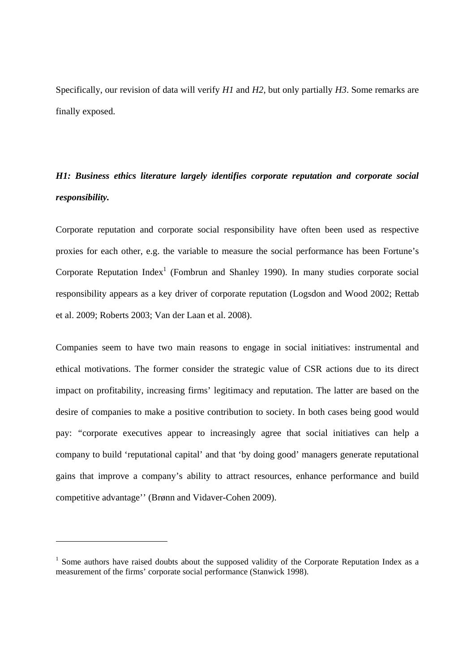Specifically, our revision of data will verify *H1* and *H2*, but only partially *H3*. Some remarks are finally exposed.

# *H1: Business ethics literature largely identifies corporate reputation and corporate social responsibility.*

Corporate reputation and corporate social responsibility have often been used as respective proxies for each other, e.g. the variable to measure the social performance has been Fortune's Corporate Reputation Index<sup>1</sup> (Fombrun and Shanley 1990). In many studies corporate social responsibility appears as a key driver of corporate reputation (Logsdon and Wood 2002; Rettab et al. 2009; Roberts 2003; Van der Laan et al. 2008).

Companies seem to have two main reasons to engage in social initiatives: instrumental and ethical motivations. The former consider the strategic value of CSR actions due to its direct impact on profitability, increasing firms' legitimacy and reputation. The latter are based on the desire of companies to make a positive contribution to society. In both cases being good would pay: *"*corporate executives appear to increasingly agree that social initiatives can help a company to build 'reputational capital' and that 'by doing good' managers generate reputational gains that improve a company's ability to attract resources, enhance performance and build competitive advantage'' (Brønn and Vidaver-Cohen 2009).

-

<sup>&</sup>lt;sup>1</sup> Some authors have raised doubts about the supposed validity of the Corporate Reputation Index as a measurement of the firms' corporate social performance (Stanwick 1998).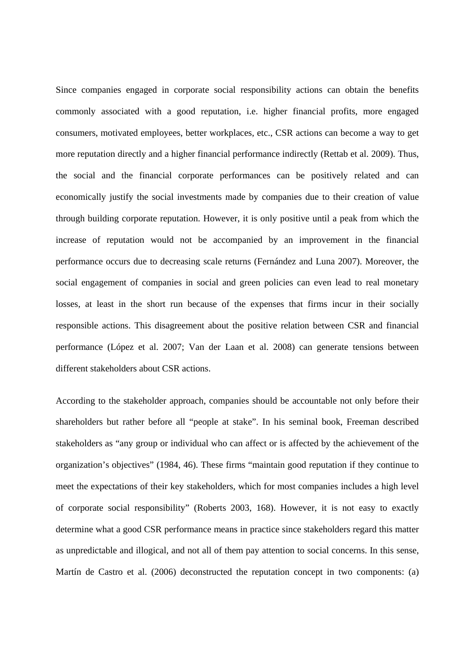Since companies engaged in corporate social responsibility actions can obtain the benefits commonly associated with a good reputation, i.e. higher financial profits, more engaged consumers, motivated employees, better workplaces, etc., CSR actions can become a way to get more reputation directly and a higher financial performance indirectly (Rettab et al. 2009). Thus, the social and the financial corporate performances can be positively related and can economically justify the social investments made by companies due to their creation of value through building corporate reputation. However, it is only positive until a peak from which the increase of reputation would not be accompanied by an improvement in the financial performance occurs due to decreasing scale returns (Fernández and Luna 2007). Moreover, the social engagement of companies in social and green policies can even lead to real monetary losses, at least in the short run because of the expenses that firms incur in their socially responsible actions. This disagreement about the positive relation between CSR and financial performance (López et al. 2007; Van der Laan et al. 2008) can generate tensions between different stakeholders about CSR actions.

According to the stakeholder approach, companies should be accountable not only before their shareholders but rather before all "people at stake". In his seminal book, Freeman described stakeholders as "any group or individual who can affect or is affected by the achievement of the organization's objectives" (1984, 46). These firms "maintain good reputation if they continue to meet the expectations of their key stakeholders, which for most companies includes a high level of corporate social responsibility" (Roberts 2003, 168). However, it is not easy to exactly determine what a good CSR performance means in practice since stakeholders regard this matter as unpredictable and illogical, and not all of them pay attention to social concerns. In this sense, Martín de Castro et al. (2006) deconstructed the reputation concept in two components: (a)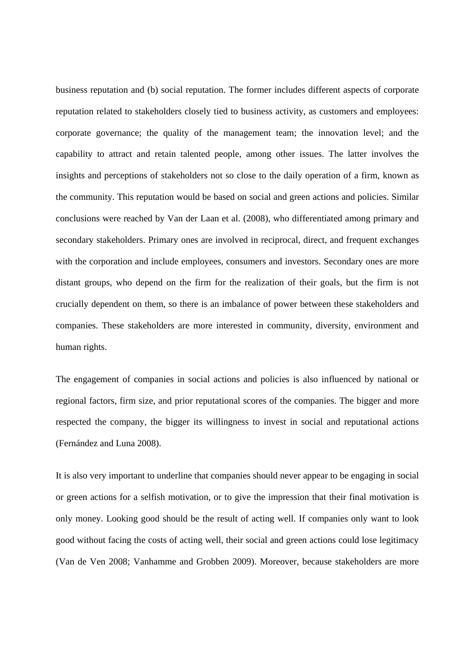business reputation and (b) social reputation. The former includes different aspects of corporate reputation related to stakeholders closely tied to business activity, as customers and employees: corporate governance; the quality of the management team; the innovation level; and the capability to attract and retain talented people, among other issues. The latter involves the insights and perceptions of stakeholders not so close to the daily operation of a firm, known as the community. This reputation would be based on social and green actions and policies. Similar conclusions were reached by Van der Laan et al. (2008), who differentiated among primary and secondary stakeholders. Primary ones are involved in reciprocal, direct, and frequent exchanges with the corporation and include employees, consumers and investors. Secondary ones are more distant groups, who depend on the firm for the realization of their goals, but the firm is not crucially dependent on them, so there is an imbalance of power between these stakeholders and companies. These stakeholders are more interested in community, diversity, environment and human rights.

The engagement of companies in social actions and policies is also influenced by national or regional factors, firm size, and prior reputational scores of the companies. The bigger and more respected the company, the bigger its willingness to invest in social and reputational actions (Fernández and Luna 2008).

It is also very important to underline that companies should never appear to be engaging in social or green actions for a selfish motivation, or to give the impression that their final motivation is only money. Looking good should be the result of acting well. If companies only want to look good without facing the costs of acting well, their social and green actions could lose legitimacy (Van de Ven 2008; Vanhamme and Grobben 2009). Moreover, because stakeholders are more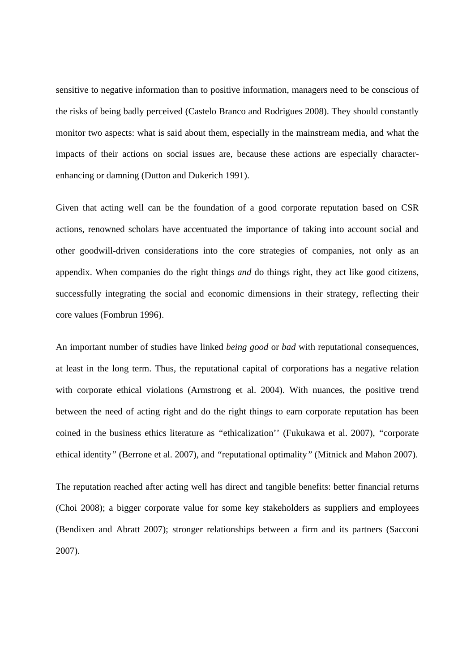sensitive to negative information than to positive information, managers need to be conscious of the risks of being badly perceived (Castelo Branco and Rodrigues 2008). They should constantly monitor two aspects: what is said about them, especially in the mainstream media, and what the impacts of their actions on social issues are, because these actions are especially characterenhancing or damning (Dutton and Dukerich 1991).

Given that acting well can be the foundation of a good corporate reputation based on CSR actions, renowned scholars have accentuated the importance of taking into account social and other goodwill-driven considerations into the core strategies of companies, not only as an appendix. When companies do the right things *and* do things right, they act like good citizens, successfully integrating the social and economic dimensions in their strategy, reflecting their core values (Fombrun 1996).

An important number of studies have linked *being good* or *bad* with reputational consequences, at least in the long term. Thus, the reputational capital of corporations has a negative relation with corporate ethical violations (Armstrong et al. 2004). With nuances, the positive trend between the need of acting right and do the right things to earn corporate reputation has been coined in the business ethics literature as *"*ethicalization'' (Fukukawa et al. 2007), *"*corporate ethical identity*"* (Berrone et al. 2007), and *"*reputational optimality*"* (Mitnick and Mahon 2007).

The reputation reached after acting well has direct and tangible benefits: better financial returns (Choi 2008); a bigger corporate value for some key stakeholders as suppliers and employees (Bendixen and Abratt 2007); stronger relationships between a firm and its partners (Sacconi 2007).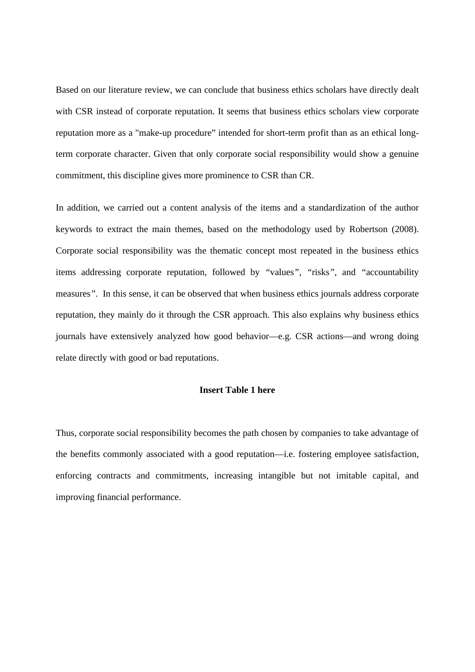Based on our literature review, we can conclude that business ethics scholars have directly dealt with CSR instead of corporate reputation. It seems that business ethics scholars view corporate reputation more as a "make-up procedure" intended for short-term profit than as an ethical longterm corporate character. Given that only corporate social responsibility would show a genuine commitment, this discipline gives more prominence to CSR than CR.

In addition, we carried out a content analysis of the items and a standardization of the author keywords to extract the main themes, based on the methodology used by Robertson (2008). Corporate social responsibility was the thematic concept most repeated in the business ethics items addressing corporate reputation, followed by *"*values*"*, *"*risks*"*, and *"*accountability measures*"*. In this sense, it can be observed that when business ethics journals address corporate reputation, they mainly do it through the CSR approach. This also explains why business ethics journals have extensively analyzed how good behavior—e.g. CSR actions—and wrong doing relate directly with good or bad reputations.

# **Insert Table 1 here**

Thus, corporate social responsibility becomes the path chosen by companies to take advantage of the benefits commonly associated with a good reputation—i.e. fostering employee satisfaction, enforcing contracts and commitments, increasing intangible but not imitable capital, and improving financial performance.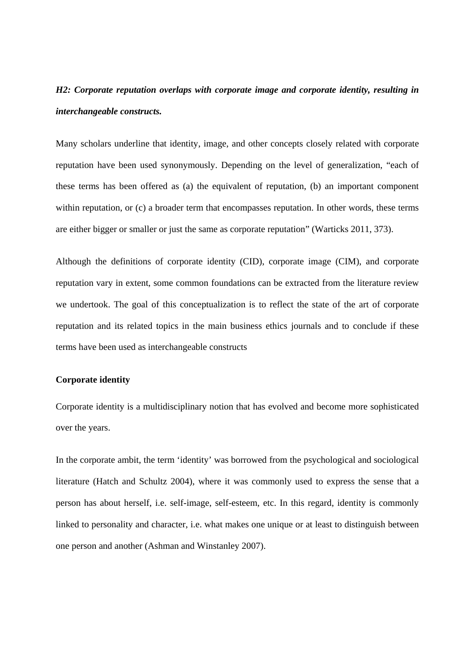# *H2: Corporate reputation overlaps with corporate image and corporate identity, resulting in interchangeable constructs.*

Many scholars underline that identity, image, and other concepts closely related with corporate reputation have been used synonymously. Depending on the level of generalization, "each of these terms has been offered as (a) the equivalent of reputation, (b) an important component within reputation, or (c) a broader term that encompasses reputation. In other words, these terms are either bigger or smaller or just the same as corporate reputation" (Warticks 2011, 373).

Although the definitions of corporate identity (CID), corporate image (CIM), and corporate reputation vary in extent, some common foundations can be extracted from the literature review we undertook. The goal of this conceptualization is to reflect the state of the art of corporate reputation and its related topics in the main business ethics journals and to conclude if these terms have been used as interchangeable constructs

# **Corporate identity**

Corporate identity is a multidisciplinary notion that has evolved and become more sophisticated over the years.

In the corporate ambit, the term 'identity' was borrowed from the psychological and sociological literature (Hatch and Schultz 2004), where it was commonly used to express the sense that a person has about herself, i.e. self-image, self-esteem, etc. In this regard, identity is commonly linked to personality and character, i.e. what makes one unique or at least to distinguish between one person and another (Ashman and Winstanley 2007).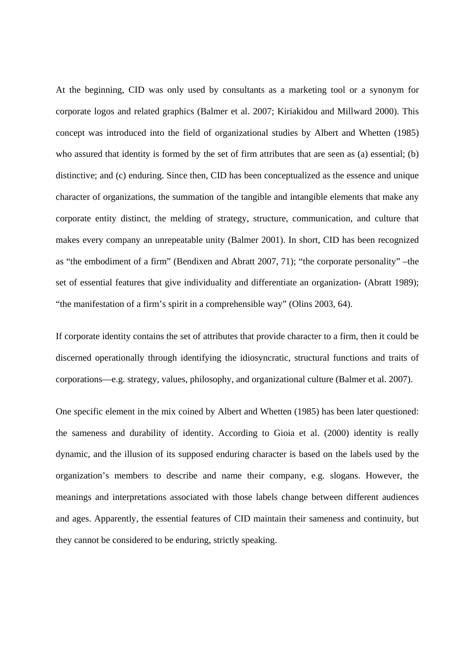At the beginning, CID was only used by consultants as a marketing tool or a synonym for corporate logos and related graphics (Balmer et al. 2007; Kiriakidou and Millward 2000). This concept was introduced into the field of organizational studies by Albert and Whetten (1985) who assured that identity is formed by the set of firm attributes that are seen as (a) essential; (b) distinctive; and (c) enduring. Since then, CID has been conceptualized as the essence and unique character of organizations, the summation of the tangible and intangible elements that make any corporate entity distinct, the melding of strategy, structure, communication, and culture that makes every company an unrepeatable unity (Balmer 2001). In short, CID has been recognized as "the embodiment of a firm" (Bendixen and Abratt 2007, 71); "the corporate personality" –the set of essential features that give individuality and differentiate an organization- (Abratt 1989); "the manifestation of a firm's spirit in a comprehensible way" (Olins 2003, 64).

If corporate identity contains the set of attributes that provide character to a firm, then it could be discerned operationally through identifying the idiosyncratic, structural functions and traits of corporations—e.g. strategy, values, philosophy, and organizational culture (Balmer et al. 2007).

One specific element in the mix coined by Albert and Whetten (1985) has been later questioned: the sameness and durability of identity. According to Gioia et al. (2000) identity is really dynamic, and the illusion of its supposed enduring character is based on the labels used by the organization's members to describe and name their company, e.g. slogans. However, the meanings and interpretations associated with those labels change between different audiences and ages. Apparently, the essential features of CID maintain their sameness and continuity, but they cannot be considered to be enduring, strictly speaking.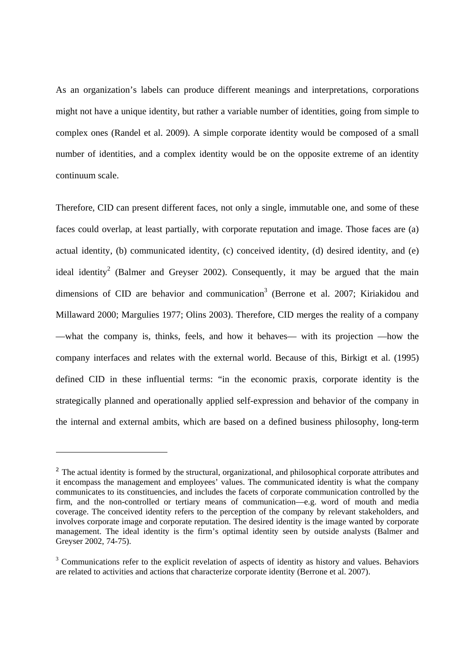As an organization's labels can produce different meanings and interpretations, corporations might not have a unique identity, but rather a variable number of identities, going from simple to complex ones (Randel et al. 2009). A simple corporate identity would be composed of a small number of identities, and a complex identity would be on the opposite extreme of an identity continuum scale.

Therefore, CID can present different faces, not only a single, immutable one, and some of these faces could overlap, at least partially, with corporate reputation and image. Those faces are (a) actual identity, (b) communicated identity, (c) conceived identity, (d) desired identity, and (e) ideal identity<sup>2</sup> (Balmer and Greyser 2002). Consequently, it may be argued that the main dimensions of CID are behavior and communication<sup>3</sup> (Berrone et al. 2007; Kiriakidou and Millaward 2000; Margulies 1977; Olins 2003). Therefore, CID merges the reality of a company —what the company is, thinks, feels, and how it behaves— with its projection —how the company interfaces and relates with the external world. Because of this, Birkigt et al. (1995) defined CID in these influential terms: "in the economic praxis, corporate identity is the strategically planned and operationally applied self-expression and behavior of the company in the internal and external ambits, which are based on a defined business philosophy, long-term

-

<sup>&</sup>lt;sup>2</sup> The actual identity is formed by the structural, organizational, and philosophical corporate attributes and it encompass the management and employees' values. The communicated identity is what the company communicates to its constituencies, and includes the facets of corporate communication controlled by the firm, and the non-controlled or tertiary means of communication—e.g. word of mouth and media coverage. The conceived identity refers to the perception of the company by relevant stakeholders, and involves corporate image and corporate reputation. The desired identity is the image wanted by corporate management. The ideal identity is the firm's optimal identity seen by outside analysts (Balmer and Greyser 2002, 74-75).

 $3$  Communications refer to the explicit revelation of aspects of identity as history and values. Behaviors are related to activities and actions that characterize corporate identity (Berrone et al. 2007).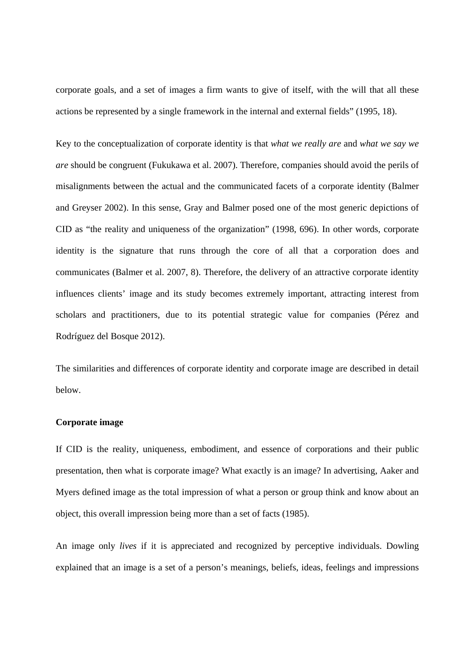corporate goals, and a set of images a firm wants to give of itself, with the will that all these actions be represented by a single framework in the internal and external fields" (1995, 18).

Key to the conceptualization of corporate identity is that *what we really are* and *what we say we are* should be congruent (Fukukawa et al. 2007). Therefore, companies should avoid the perils of misalignments between the actual and the communicated facets of a corporate identity (Balmer and Greyser 2002). In this sense, Gray and Balmer posed one of the most generic depictions of CID as "the reality and uniqueness of the organization" (1998, 696). In other words, corporate identity is the signature that runs through the core of all that a corporation does and communicates (Balmer et al. 2007, 8). Therefore, the delivery of an attractive corporate identity influences clients' image and its study becomes extremely important, attracting interest from scholars and practitioners, due to its potential strategic value for companies (Pérez and Rodríguez del Bosque 2012).

The similarities and differences of corporate identity and corporate image are described in detail below.

#### **Corporate image**

If CID is the reality, uniqueness, embodiment, and essence of corporations and their public presentation, then what is corporate image? What exactly is an image? In advertising, Aaker and Myers defined image as the total impression of what a person or group think and know about an object, this overall impression being more than a set of facts (1985).

An image only *lives* if it is appreciated and recognized by perceptive individuals. Dowling explained that an image is a set of a person's meanings, beliefs, ideas, feelings and impressions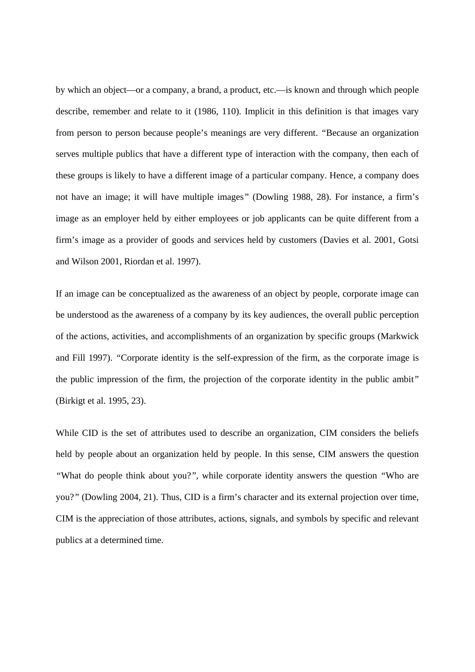by which an object—or a company, a brand, a product, etc.—is known and through which people describe, remember and relate to it (1986, 110). Implicit in this definition is that images vary from person to person because people's meanings are very different. *"*Because an organization serves multiple publics that have a different type of interaction with the company, then each of these groups is likely to have a different image of a particular company. Hence, a company does not have an image; it will have multiple images*"* (Dowling 1988, 28). For instance, a firm's image as an employer held by either employees or job applicants can be quite different from a firm's image as a provider of goods and services held by customers (Davies et al. 2001, Gotsi and Wilson 2001, Riordan et al. 1997).

If an image can be conceptualized as the awareness of an object by people, corporate image can be understood as the awareness of a company by its key audiences, the overall public perception of the actions, activities, and accomplishments of an organization by specific groups (Markwick and Fill 1997). *"*Corporate identity is the self-expression of the firm, as the corporate image is the public impression of the firm, the projection of the corporate identity in the public ambit*"* (Birkigt et al. 1995, 23).

While CID is the set of attributes used to describe an organization, CIM considers the beliefs held by people about an organization held by people. In this sense, CIM answers the question *"*What do people think about you?*"*, while corporate identity answers the question *"*Who are you?*"* (Dowling 2004, 21). Thus, CID is a firm's character and its external projection over time, CIM is the appreciation of those attributes, actions, signals, and symbols by specific and relevant publics at a determined time.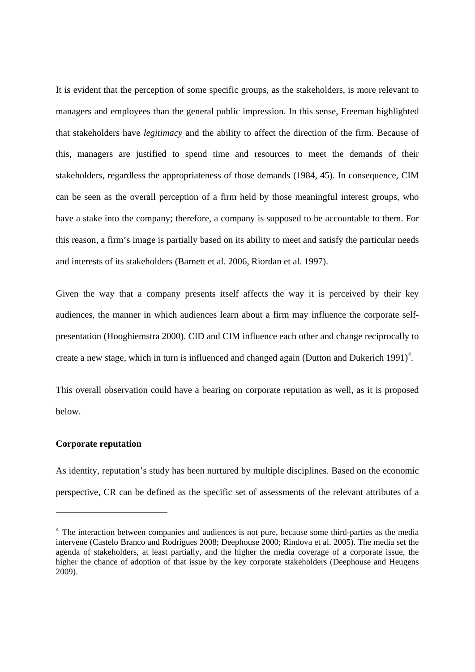It is evident that the perception of some specific groups, as the stakeholders, is more relevant to managers and employees than the general public impression. In this sense, Freeman highlighted that stakeholders have *legitimacy* and the ability to affect the direction of the firm. Because of this, managers are justified to spend time and resources to meet the demands of their stakeholders, regardless the appropriateness of those demands (1984, 45). In consequence, CIM can be seen as the overall perception of a firm held by those meaningful interest groups, who have a stake into the company; therefore, a company is supposed to be accountable to them. For this reason, a firm's image is partially based on its ability to meet and satisfy the particular needs and interests of its stakeholders (Barnett et al. 2006, Riordan et al. 1997).

Given the way that a company presents itself affects the way it is perceived by their key audiences, the manner in which audiences learn about a firm may influence the corporate selfpresentation (Hooghiemstra 2000). CID and CIM influence each other and change reciprocally to create a new stage, which in turn is influenced and changed again (Dutton and Dukerich 1991)<sup>4</sup>.

This overall observation could have a bearing on corporate reputation as well, as it is proposed below.

### **Corporate reputation**

-

As identity, reputation's study has been nurtured by multiple disciplines. Based on the economic perspective, CR can be defined as the specific set of assessments of the relevant attributes of a

<sup>&</sup>lt;sup>4</sup> The interaction between companies and audiences is not pure, because some third-parties as the media intervene (Castelo Branco and Rodrigues 2008; Deephouse 2000; Rindova et al. 2005). The media set the agenda of stakeholders, at least partially, and the higher the media coverage of a corporate issue, the higher the chance of adoption of that issue by the key corporate stakeholders (Deephouse and Heugens 2009).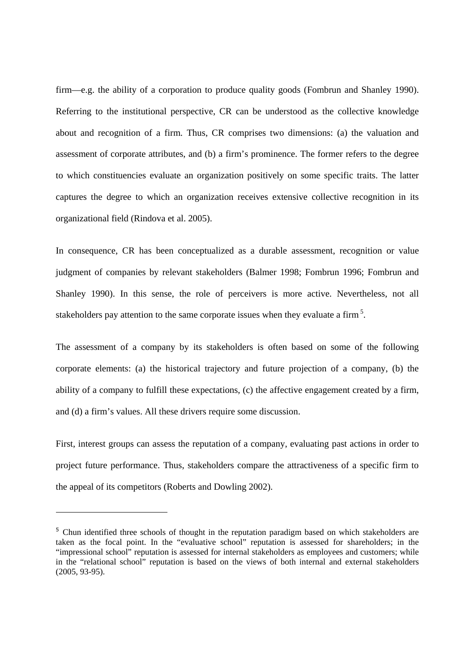firm—e.g. the ability of a corporation to produce quality goods (Fombrun and Shanley 1990). Referring to the institutional perspective, CR can be understood as the collective knowledge about and recognition of a firm. Thus, CR comprises two dimensions: (a) the valuation and assessment of corporate attributes, and (b) a firm's prominence. The former refers to the degree to which constituencies evaluate an organization positively on some specific traits. The latter captures the degree to which an organization receives extensive collective recognition in its organizational field (Rindova et al. 2005).

In consequence, CR has been conceptualized as a durable assessment, recognition or value judgment of companies by relevant stakeholders (Balmer 1998; Fombrun 1996; Fombrun and Shanley 1990). In this sense, the role of perceivers is more active. Nevertheless, not all stakeholders pay attention to the same corporate issues when they evaluate a firm<sup>5</sup>.

The assessment of a company by its stakeholders is often based on some of the following corporate elements: (a) the historical trajectory and future projection of a company, (b) the ability of a company to fulfill these expectations, (c) the affective engagement created by a firm, and (d) a firm's values. All these drivers require some discussion.

First, interest groups can assess the reputation of a company, evaluating past actions in order to project future performance. Thus, stakeholders compare the attractiveness of a specific firm to the appeal of its competitors (Roberts and Dowling 2002).

-

<sup>&</sup>lt;sup>5</sup> Chun identified three schools of thought in the reputation paradigm based on which stakeholders are taken as the focal point. In the "evaluative school" reputation is assessed for shareholders; in the "impressional school" reputation is assessed for internal stakeholders as employees and customers; while in the "relational school" reputation is based on the views of both internal and external stakeholders (2005, 93-95).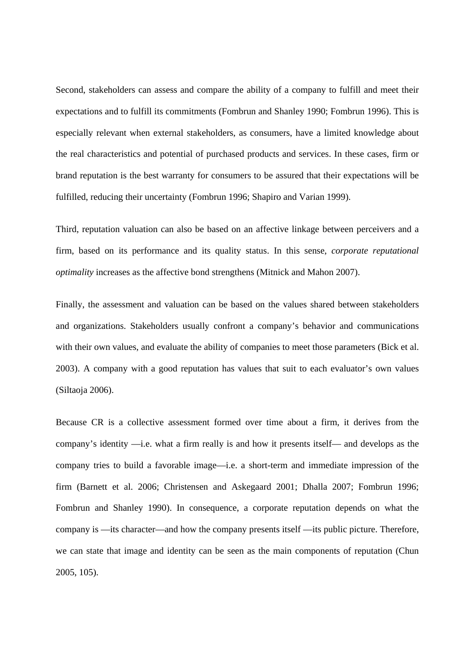Second, stakeholders can assess and compare the ability of a company to fulfill and meet their expectations and to fulfill its commitments (Fombrun and Shanley 1990; Fombrun 1996). This is especially relevant when external stakeholders, as consumers, have a limited knowledge about the real characteristics and potential of purchased products and services. In these cases, firm or brand reputation is the best warranty for consumers to be assured that their expectations will be fulfilled, reducing their uncertainty (Fombrun 1996; Shapiro and Varian 1999).

Third, reputation valuation can also be based on an affective linkage between perceivers and a firm, based on its performance and its quality status. In this sense, *corporate reputational optimality* increases as the affective bond strengthens (Mitnick and Mahon 2007).

Finally, the assessment and valuation can be based on the values shared between stakeholders and organizations. Stakeholders usually confront a company's behavior and communications with their own values, and evaluate the ability of companies to meet those parameters (Bick et al. 2003). A company with a good reputation has values that suit to each evaluator's own values (Siltaoja 2006).

Because CR is a collective assessment formed over time about a firm, it derives from the company's identity —i.e. what a firm really is and how it presents itself— and develops as the company tries to build a favorable image—i.e. a short-term and immediate impression of the firm (Barnett et al. 2006; Christensen and Askegaard 2001; Dhalla 2007; Fombrun 1996; Fombrun and Shanley 1990). In consequence, a corporate reputation depends on what the company is —its character—and how the company presents itself —its public picture. Therefore, we can state that image and identity can be seen as the main components of reputation (Chun 2005, 105).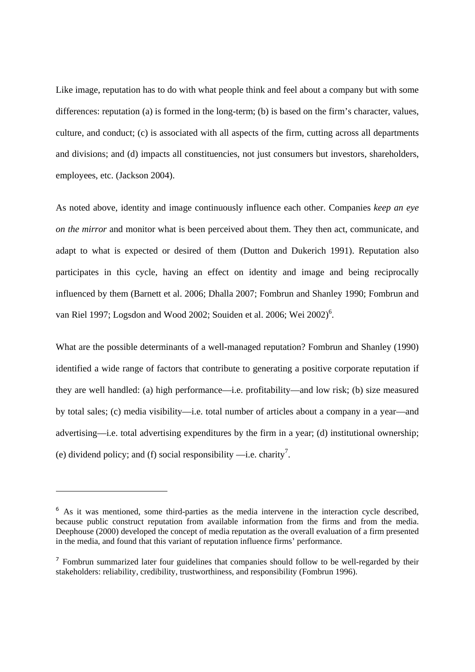Like image, reputation has to do with what people think and feel about a company but with some differences: reputation (a) is formed in the long-term; (b) is based on the firm's character, values, culture, and conduct; (c) is associated with all aspects of the firm, cutting across all departments and divisions; and (d) impacts all constituencies, not just consumers but investors, shareholders, employees, etc. (Jackson 2004).

As noted above, identity and image continuously influence each other. Companies *keep an eye on the mirror* and monitor what is been perceived about them. They then act, communicate, and adapt to what is expected or desired of them (Dutton and Dukerich 1991). Reputation also participates in this cycle, having an effect on identity and image and being reciprocally influenced by them (Barnett et al. 2006; Dhalla 2007; Fombrun and Shanley 1990; Fombrun and van Riel 1997; Logsdon and Wood 2002; Souiden et al. 2006; Wei 2002)<sup>6</sup>.

What are the possible determinants of a well-managed reputation? Fombrun and Shanley (1990) identified a wide range of factors that contribute to generating a positive corporate reputation if they are well handled: (a) high performance—i.e. profitability—and low risk; (b) size measured by total sales; (c) media visibility—i.e. total number of articles about a company in a year—and advertising—i.e. total advertising expenditures by the firm in a year; (d) institutional ownership; (e) dividend policy; and (f) social responsibility  $\rightarrow$  i.e. charity<sup>7</sup>.

-

<sup>&</sup>lt;sup>6</sup> As it was mentioned, some third-parties as the media intervene in the interaction cycle described, because public construct reputation from available information from the firms and from the media. Deephouse (2000) developed the concept of media reputation as the overall evaluation of a firm presented in the media, and found that this variant of reputation influence firms' performance.

<sup>&</sup>lt;sup>7</sup> Fombrun summarized later four guidelines that companies should follow to be well-regarded by their stakeholders: reliability, credibility, trustworthiness, and responsibility (Fombrun 1996).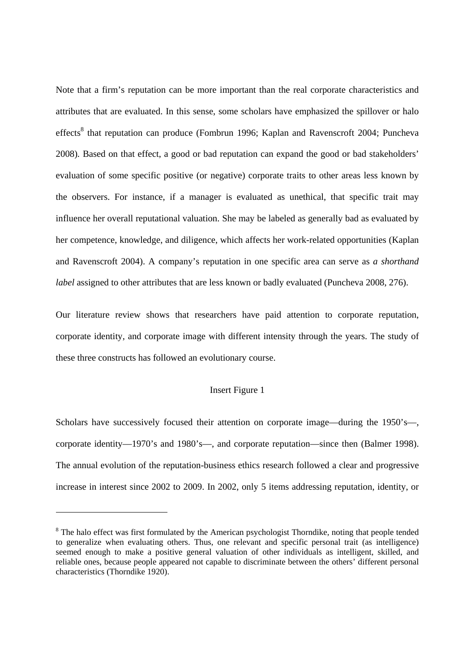Note that a firm's reputation can be more important than the real corporate characteristics and attributes that are evaluated. In this sense, some scholars have emphasized the spillover or halo effects<sup>8</sup> that reputation can produce (Fombrun 1996; Kaplan and Ravenscroft 2004; Puncheva 2008)*.* Based on that effect, a good or bad reputation can expand the good or bad stakeholders' evaluation of some specific positive (or negative) corporate traits to other areas less known by the observers. For instance, if a manager is evaluated as unethical, that specific trait may influence her overall reputational valuation. She may be labeled as generally bad as evaluated by her competence, knowledge, and diligence, which affects her work-related opportunities (Kaplan and Ravenscroft 2004). A company's reputation in one specific area can serve as *a shorthand label* assigned to other attributes that are less known or badly evaluated (Puncheva 2008, 276).

Our literature review shows that researchers have paid attention to corporate reputation, corporate identity, and corporate image with different intensity through the years. The study of these three constructs has followed an evolutionary course.

### Insert Figure 1

Scholars have successively focused their attention on corporate image—during the 1950's—, corporate identity—1970's and 1980's—, and corporate reputation—since then (Balmer 1998). The annual evolution of the reputation-business ethics research followed a clear and progressive increase in interest since 2002 to 2009. In 2002, only 5 items addressing reputation, identity, or

-

<sup>&</sup>lt;sup>8</sup> The halo effect was first formulated by the American psychologist Thorndike, noting that people tended to generalize when evaluating others. Thus, one relevant and specific personal trait (as intelligence) seemed enough to make a positive general valuation of other individuals as intelligent, skilled, and reliable ones, because people appeared not capable to discriminate between the others' different personal characteristics (Thorndike 1920).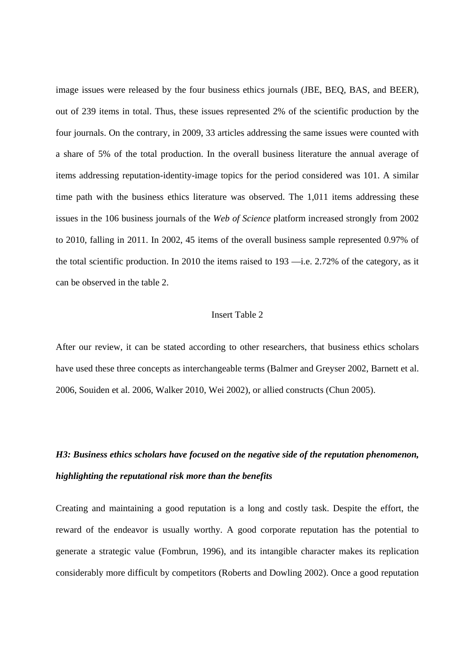image issues were released by the four business ethics journals (JBE, BEQ, BAS, and BEER), out of 239 items in total. Thus, these issues represented 2% of the scientific production by the four journals. On the contrary, in 2009, 33 articles addressing the same issues were counted with a share of 5% of the total production. In the overall business literature the annual average of items addressing reputation-identity-image topics for the period considered was 101. A similar time path with the business ethics literature was observed. The 1,011 items addressing these issues in the 106 business journals of the *Web of Science* platform increased strongly from 2002 to 2010, falling in 2011. In 2002, 45 items of the overall business sample represented 0.97% of the total scientific production. In 2010 the items raised to 193 —i.e. 2.72% of the category, as it can be observed in the table 2.

### Insert Table 2

After our review, it can be stated according to other researchers, that business ethics scholars have used these three concepts as interchangeable terms (Balmer and Greyser 2002, Barnett et al. 2006, Souiden et al. 2006, Walker 2010, Wei 2002), or allied constructs (Chun 2005).

# *H3: Business ethics scholars have focused on the negative side of the reputation phenomenon, highlighting the reputational risk more than the benefits*

Creating and maintaining a good reputation is a long and costly task. Despite the effort, the reward of the endeavor is usually worthy. A good corporate reputation has the potential to generate a strategic value (Fombrun, 1996), and its intangible character makes its replication considerably more difficult by competitors (Roberts and Dowling 2002). Once a good reputation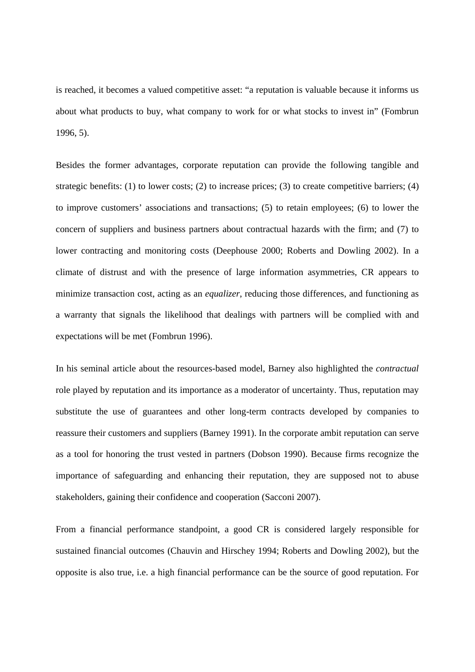is reached, it becomes a valued competitive asset: "a reputation is valuable because it informs us about what products to buy, what company to work for or what stocks to invest in" (Fombrun 1996, 5).

Besides the former advantages, corporate reputation can provide the following tangible and strategic benefits: (1) to lower costs; (2) to increase prices; (3) to create competitive barriers; (4) to improve customers' associations and transactions; (5) to retain employees; (6) to lower the concern of suppliers and business partners about contractual hazards with the firm; and (7) to lower contracting and monitoring costs (Deephouse 2000; Roberts and Dowling 2002). In a climate of distrust and with the presence of large information asymmetries, CR appears to minimize transaction cost, acting as an *equalizer*, reducing those differences, and functioning as a warranty that signals the likelihood that dealings with partners will be complied with and expectations will be met (Fombrun 1996).

In his seminal article about the resources-based model, Barney also highlighted the *contractual* role played by reputation and its importance as a moderator of uncertainty. Thus, reputation may substitute the use of guarantees and other long-term contracts developed by companies to reassure their customers and suppliers (Barney 1991). In the corporate ambit reputation can serve as a tool for honoring the trust vested in partners (Dobson 1990). Because firms recognize the importance of safeguarding and enhancing their reputation, they are supposed not to abuse stakeholders, gaining their confidence and cooperation (Sacconi 2007).

From a financial performance standpoint, a good CR is considered largely responsible for sustained financial outcomes (Chauvin and Hirschey 1994; Roberts and Dowling 2002), but the opposite is also true, i.e. a high financial performance can be the source of good reputation. For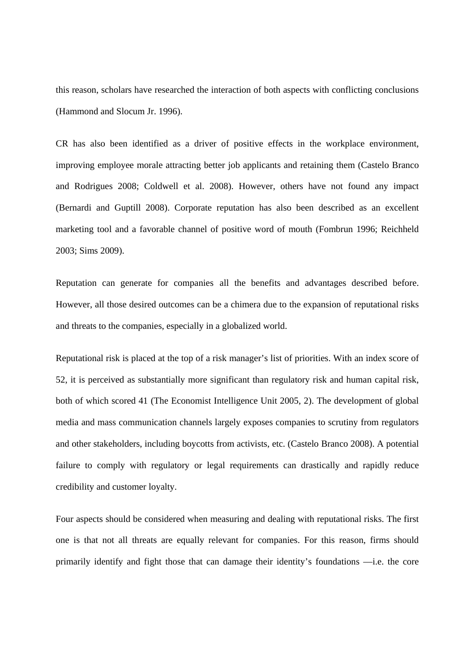this reason, scholars have researched the interaction of both aspects with conflicting conclusions (Hammond and Slocum Jr. 1996).

CR has also been identified as a driver of positive effects in the workplace environment, improving employee morale attracting better job applicants and retaining them (Castelo Branco and Rodrigues 2008; Coldwell et al. 2008). However, others have not found any impact (Bernardi and Guptill 2008). Corporate reputation has also been described as an excellent marketing tool and a favorable channel of positive word of mouth (Fombrun 1996; Reichheld 2003; Sims 2009).

Reputation can generate for companies all the benefits and advantages described before. However, all those desired outcomes can be a chimera due to the expansion of reputational risks and threats to the companies, especially in a globalized world.

Reputational risk is placed at the top of a risk manager's list of priorities. With an index score of 52, it is perceived as substantially more significant than regulatory risk and human capital risk, both of which scored 41 (The Economist Intelligence Unit 2005, 2). The development of global media and mass communication channels largely exposes companies to scrutiny from regulators and other stakeholders, including boycotts from activists, etc. (Castelo Branco 2008). A potential failure to comply with regulatory or legal requirements can drastically and rapidly reduce credibility and customer loyalty.

Four aspects should be considered when measuring and dealing with reputational risks. The first one is that not all threats are equally relevant for companies. For this reason, firms should primarily identify and fight those that can damage their identity's foundations —i.e. the core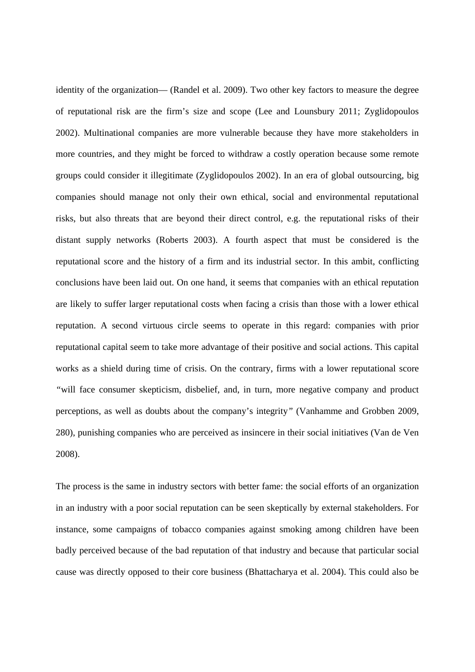identity of the organization— (Randel et al. 2009). Two other key factors to measure the degree of reputational risk are the firm's size and scope (Lee and Lounsbury 2011; Zyglidopoulos 2002). Multinational companies are more vulnerable because they have more stakeholders in more countries, and they might be forced to withdraw a costly operation because some remote groups could consider it illegitimate (Zyglidopoulos 2002). In an era of global outsourcing, big companies should manage not only their own ethical, social and environmental reputational risks, but also threats that are beyond their direct control, e.g. the reputational risks of their distant supply networks (Roberts 2003). A fourth aspect that must be considered is the reputational score and the history of a firm and its industrial sector. In this ambit, conflicting conclusions have been laid out. On one hand, it seems that companies with an ethical reputation are likely to suffer larger reputational costs when facing a crisis than those with a lower ethical reputation. A second virtuous circle seems to operate in this regard: companies with prior reputational capital seem to take more advantage of their positive and social actions. This capital works as a shield during time of crisis. On the contrary, firms with a lower reputational score *"*will face consumer skepticism, disbelief, and, in turn, more negative company and product perceptions, as well as doubts about the company's integrity*"* (Vanhamme and Grobben 2009, 280), punishing companies who are perceived as insincere in their social initiatives (Van de Ven 2008).

The process is the same in industry sectors with better fame: the social efforts of an organization in an industry with a poor social reputation can be seen skeptically by external stakeholders. For instance, some campaigns of tobacco companies against smoking among children have been badly perceived because of the bad reputation of that industry and because that particular social cause was directly opposed to their core business (Bhattacharya et al. 2004). This could also be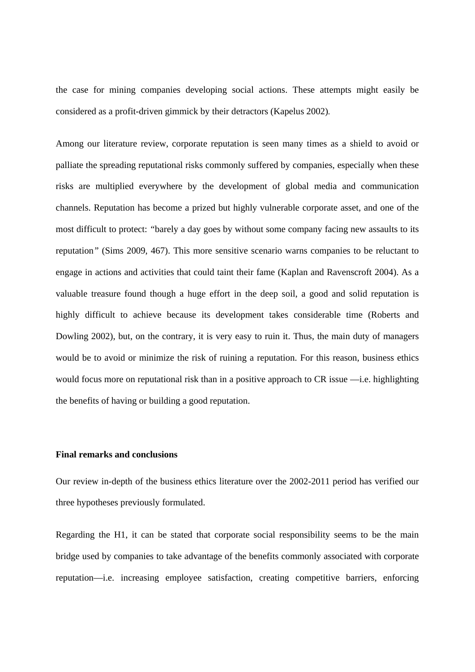the case for mining companies developing social actions. These attempts might easily be considered as a profit-driven gimmick by their detractors (Kapelus 2002).

Among our literature review, corporate reputation is seen many times as a shield to avoid or palliate the spreading reputational risks commonly suffered by companies, especially when these risks are multiplied everywhere by the development of global media and communication channels. Reputation has become a prized but highly vulnerable corporate asset, and one of the most difficult to protect: *"*barely a day goes by without some company facing new assaults to its reputation*"* (Sims 2009, 467). This more sensitive scenario warns companies to be reluctant to engage in actions and activities that could taint their fame (Kaplan and Ravenscroft 2004). As a valuable treasure found though a huge effort in the deep soil, a good and solid reputation is highly difficult to achieve because its development takes considerable time (Roberts and Dowling 2002), but, on the contrary, it is very easy to ruin it. Thus, the main duty of managers would be to avoid or minimize the risk of ruining a reputation. For this reason, business ethics would focus more on reputational risk than in a positive approach to CR issue —i.e. highlighting the benefits of having or building a good reputation.

### **Final remarks and conclusions**

Our review in-depth of the business ethics literature over the 2002-2011 period has verified our three hypotheses previously formulated.

Regarding the H1, it can be stated that corporate social responsibility seems to be the main bridge used by companies to take advantage of the benefits commonly associated with corporate reputation—i.e. increasing employee satisfaction, creating competitive barriers, enforcing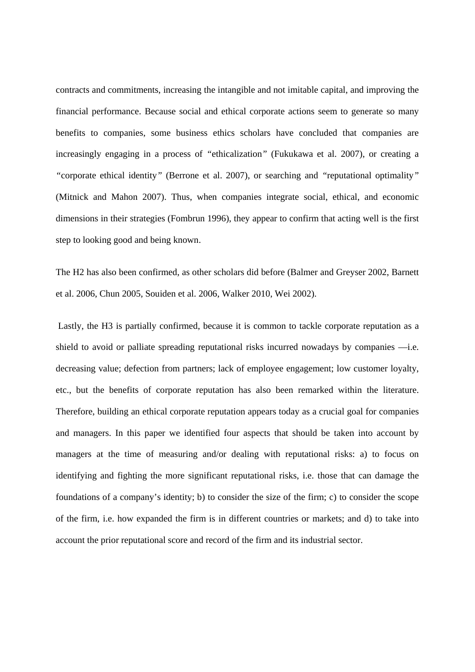contracts and commitments, increasing the intangible and not imitable capital, and improving the financial performance. Because social and ethical corporate actions seem to generate so many benefits to companies, some business ethics scholars have concluded that companies are increasingly engaging in a process of *"*ethicalization*"* (Fukukawa et al. 2007), or creating a *"*corporate ethical identity*"* (Berrone et al. 2007), or searching and *"*reputational optimality*"* (Mitnick and Mahon 2007). Thus, when companies integrate social, ethical, and economic dimensions in their strategies (Fombrun 1996), they appear to confirm that acting well is the first step to looking good and being known.

The H2 has also been confirmed, as other scholars did before (Balmer and Greyser 2002, Barnett et al. 2006, Chun 2005, Souiden et al. 2006, Walker 2010, Wei 2002).

 Lastly, the H3 is partially confirmed, because it is common to tackle corporate reputation as a shield to avoid or palliate spreading reputational risks incurred nowadays by companies —i.e. decreasing value; defection from partners; lack of employee engagement; low customer loyalty, etc., but the benefits of corporate reputation has also been remarked within the literature. Therefore, building an ethical corporate reputation appears today as a crucial goal for companies and managers. In this paper we identified four aspects that should be taken into account by managers at the time of measuring and/or dealing with reputational risks: a) to focus on identifying and fighting the more significant reputational risks, i.e. those that can damage the foundations of a company's identity; b) to consider the size of the firm; c) to consider the scope of the firm, i.e. how expanded the firm is in different countries or markets; and d) to take into account the prior reputational score and record of the firm and its industrial sector.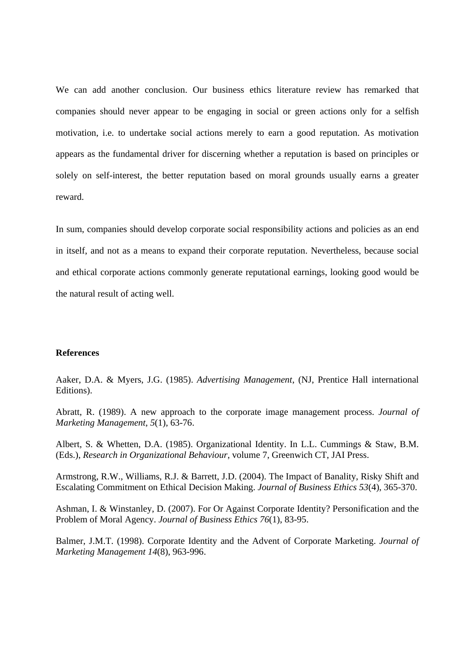We can add another conclusion. Our business ethics literature review has remarked that companies should never appear to be engaging in social or green actions only for a selfish motivation, i.e. to undertake social actions merely to earn a good reputation. As motivation appears as the fundamental driver for discerning whether a reputation is based on principles or solely on self-interest, the better reputation based on moral grounds usually earns a greater reward.

In sum, companies should develop corporate social responsibility actions and policies as an end in itself, and not as a means to expand their corporate reputation. Nevertheless, because social and ethical corporate actions commonly generate reputational earnings, looking good would be the natural result of acting well.

## **References**

Aaker, D.A. & Myers, J.G. (1985). *Advertising Management*, (NJ, Prentice Hall international Editions).

Abratt, R. (1989). A new approach to the corporate image management process. *Journal of Marketing Management*, *5*(1), 63-76.

Albert, S. & Whetten, D.A. (1985). Organizational Identity. In L.L. Cummings & Staw, B.M. (Eds.), *Research in Organizational Behaviour*, volume 7, Greenwich CT, JAI Press.

Armstrong, R.W., Williams, R.J. & Barrett, J.D. (2004). The Impact of Banality, Risky Shift and Escalating Commitment on Ethical Decision Making. *Journal of Business Ethics 53*(4), 365-370.

Ashman, I. & Winstanley, D. (2007). For Or Against Corporate Identity? Personification and the Problem of Moral Agency. *Journal of Business Ethics 76*(1), 83-95.

Balmer, J.M.T. (1998). Corporate Identity and the Advent of Corporate Marketing. *Journal of Marketing Management 14*(8), 963-996.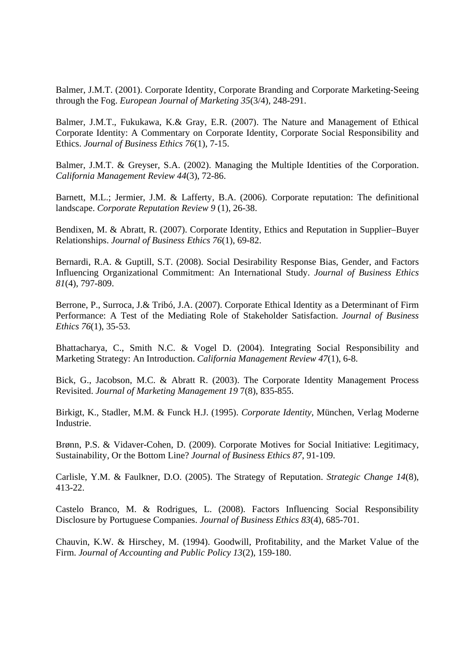Balmer, J.M.T. (2001). Corporate Identity, Corporate Branding and Corporate Marketing-Seeing through the Fog. *European Journal of Marketing 35*(3/4), 248-291.

Balmer, J.M.T., Fukukawa, K.& Gray, E.R. (2007). The Nature and Management of Ethical Corporate Identity: A Commentary on Corporate Identity, Corporate Social Responsibility and Ethics. *Journal of Business Ethics 76*(1), 7-15.

Balmer, J.M.T. & Greyser, S.A. (2002). Managing the Multiple Identities of the Corporation. *California Management Review 44*(3), 72-86.

Barnett, M.L.; Jermier, J.M. & Lafferty, B.A. (2006). Corporate reputation: The definitional landscape. *Corporate Reputation Review 9* (1), 26-38.

Bendixen, M. & Abratt, R. (2007). Corporate Identity, Ethics and Reputation in Supplier–Buyer Relationships. *Journal of Business Ethics 76*(1), 69-82.

Bernardi, R.A. & Guptill, S.T. (2008). Social Desirability Response Bias, Gender, and Factors Influencing Organizational Commitment: An International Study. *Journal of Business Ethics 81*(4), 797-809.

Berrone, P., Surroca, J.& Tribó, J.A. (2007). Corporate Ethical Identity as a Determinant of Firm Performance: A Test of the Mediating Role of Stakeholder Satisfaction. *Journal of Business Ethics 76*(1), 35-53.

Bhattacharya, C., Smith N.C. & Vogel D. (2004). Integrating Social Responsibility and Marketing Strategy: An Introduction. *California Management Review 47*(1), 6-8.

Bick, G., Jacobson, M.C. & Abratt R. (2003). The Corporate Identity Management Process Revisited. *Journal of Marketing Management 19* 7(8), 835-855.

Birkigt, K., Stadler, M.M. & Funck H.J. (1995). *Corporate Identity*, München, Verlag Moderne Industrie.

Brønn, P.S. & Vidaver-Cohen, D. (2009). Corporate Motives for Social Initiative: Legitimacy, Sustainability, Or the Bottom Line? *Journal of Business Ethics 87*, 91-109.

Carlisle, Y.M. & Faulkner, D.O. (2005). The Strategy of Reputation. *Strategic Change 14*(8), 413-22.

Castelo Branco, M. & Rodrigues, L. (2008). Factors Influencing Social Responsibility Disclosure by Portuguese Companies. *Journal of Business Ethics 83*(4), 685-701.

Chauvin, K.W. & Hirschey, M. (1994). Goodwill, Profitability, and the Market Value of the Firm. *Journal of Accounting and Public Policy 13*(2), 159-180.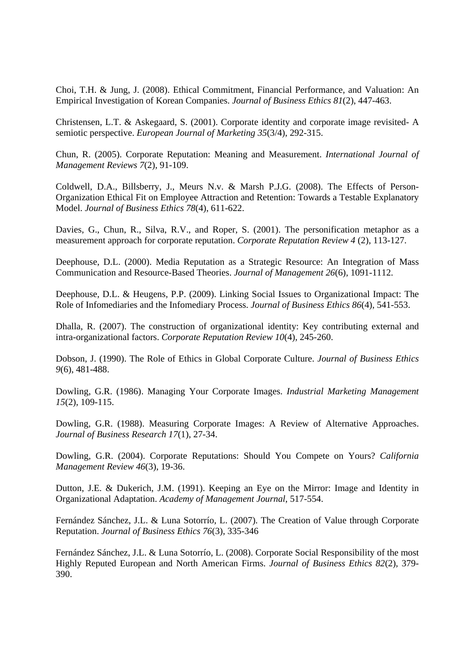Choi, T.H. & Jung, J. (2008). Ethical Commitment, Financial Performance, and Valuation: An Empirical Investigation of Korean Companies. *Journal of Business Ethics 81*(2), 447-463.

Christensen, L.T. & Askegaard, S. (2001). Corporate identity and corporate image revisited- A semiotic perspective. *European Journal of Marketing 35*(3/4), 292-315.

Chun, R. (2005). Corporate Reputation: Meaning and Measurement. *International Journal of Management Reviews 7*(2), 91-109.

Coldwell, D.A., Billsberry, J., Meurs N.v. & Marsh P.J.G. (2008). The Effects of Person-Organization Ethical Fit on Employee Attraction and Retention: Towards a Testable Explanatory Model. *Journal of Business Ethics 78*(4), 611-622.

Davies, G., Chun, R., Silva, R.V., and Roper, S. (2001). The personification metaphor as a measurement approach for corporate reputation. *Corporate Reputation Review 4* (2), 113-127.

Deephouse, D.L. (2000). Media Reputation as a Strategic Resource: An Integration of Mass Communication and Resource-Based Theories. *Journal of Management 26*(6), 1091-1112.

Deephouse, D.L. & Heugens, P.P. (2009). Linking Social Issues to Organizational Impact: The Role of Infomediaries and the Infomediary Process. *Journal of Business Ethics 86*(4), 541-553.

Dhalla, R. (2007). The construction of organizational identity: Key contributing external and intra-organizational factors. *Corporate Reputation Review 10*(4), 245-260.

Dobson, J. (1990). The Role of Ethics in Global Corporate Culture. *Journal of Business Ethics 9*(6), 481-488.

Dowling, G.R. (1986). Managing Your Corporate Images. *Industrial Marketing Management 15*(2), 109-115.

Dowling, G.R. (1988). Measuring Corporate Images: A Review of Alternative Approaches. *Journal of Business Research 17*(1), 27-34.

Dowling, G.R. (2004). Corporate Reputations: Should You Compete on Yours? *California Management Review 46*(3), 19-36.

Dutton, J.E. & Dukerich, J.M. (1991). Keeping an Eye on the Mirror: Image and Identity in Organizational Adaptation. *Academy of Management Journal*, 517-554.

Fernández Sánchez, J.L. & Luna Sotorrío, L. (2007). The Creation of Value through Corporate Reputation. *Journal of Business Ethics 76*(3), 335-346

Fernández Sánchez, J.L. & Luna Sotorrío, L. (2008). Corporate Social Responsibility of the most Highly Reputed European and North American Firms. *Journal of Business Ethics 82*(2), 379- 390.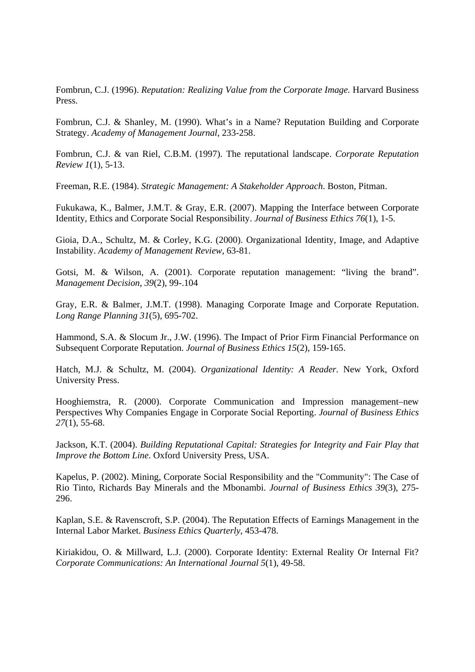Fombrun, C.J. (1996). *Reputation: Realizing Value from the Corporate Image*. Harvard Business Press.

Fombrun, C.J. & Shanley, M. (1990). What's in a Name? Reputation Building and Corporate Strategy. *Academy of Management Journal*, 233-258.

Fombrun, C.J. & van Riel, C.B.M. (1997). The reputational landscape. *Corporate Reputation Review 1*(1), 5-13.

Freeman, R.E. (1984). *Strategic Management: A Stakeholder Approach*. Boston, Pitman.

Fukukawa, K., Balmer, J.M.T. & Gray, E.R. (2007). Mapping the Interface between Corporate Identity, Ethics and Corporate Social Responsibility. *Journal of Business Ethics 76*(1), 1-5.

Gioia, D.A., Schultz, M. & Corley, K.G. (2000). Organizational Identity, Image, and Adaptive Instability. *Academy of Management Review*, 63-81.

Gotsi, M. & Wilson, A. (2001). Corporate reputation management: "living the brand". *Management Decision*, *39*(2), 99-.104

Gray, E.R. & Balmer, J.M.T. (1998). Managing Corporate Image and Corporate Reputation. *Long Range Planning 31*(5), 695-702.

Hammond, S.A. & Slocum Jr., J.W. (1996). The Impact of Prior Firm Financial Performance on Subsequent Corporate Reputation. *Journal of Business Ethics 15*(2), 159-165.

Hatch, M.J. & Schultz, M. (2004). *Organizational Identity: A Reader.* New York, Oxford University Press.

Hooghiemstra, R. (2000). Corporate Communication and Impression management–new Perspectives Why Companies Engage in Corporate Social Reporting. *Journal of Business Ethics 27*(1), 55-68.

Jackson, K.T. (2004). *Building Reputational Capital: Strategies for Integrity and Fair Play that Improve the Bottom Line*. Oxford University Press, USA.

Kapelus, P. (2002). Mining, Corporate Social Responsibility and the "Community": The Case of Rio Tinto, Richards Bay Minerals and the Mbonambi. *Journal of Business Ethics 39*(3), 275- 296.

Kaplan, S.E. & Ravenscroft, S.P. (2004). The Reputation Effects of Earnings Management in the Internal Labor Market. *Business Ethics Quarterly*, 453-478.

Kiriakidou, O. & Millward, L.J. (2000). Corporate Identity: External Reality Or Internal Fit? *Corporate Communications: An International Journal 5*(1), 49-58.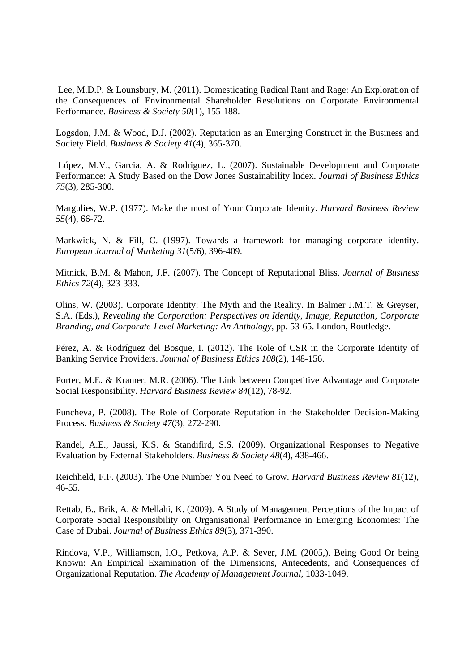Lee, M.D.P. & Lounsbury, M. (2011). Domesticating Radical Rant and Rage: An Exploration of the Consequences of Environmental Shareholder Resolutions on Corporate Environmental Performance. *Business & Society 50*(1), 155-188.

Logsdon, J.M. & Wood, D.J. (2002). Reputation as an Emerging Construct in the Business and Society Field. *Business & Society 41*(4), 365-370.

 López, M.V., Garcia, A. & Rodriguez, L. (2007). Sustainable Development and Corporate Performance: A Study Based on the Dow Jones Sustainability Index. *Journal of Business Ethics 75*(3), 285-300.

Margulies, W.P. (1977). Make the most of Your Corporate Identity. *Harvard Business Review 55*(4), 66-72.

Markwick, N. & Fill, C. (1997). Towards a framework for managing corporate identity. *European Journal of Marketing 31*(5/6), 396-409.

Mitnick, B.M. & Mahon, J.F. (2007). The Concept of Reputational Bliss. *Journal of Business Ethics 72*(4), 323-333.

Olins, W. (2003). Corporate Identity: The Myth and the Reality. In Balmer J.M.T. & Greyser, S.A. (Eds.), *Revealing the Corporation: Perspectives on Identity, Image, Reputation, Corporate Branding, and Corporate-Level Marketing: An Anthology*, pp. 53-65. London, Routledge.

Pérez, A. & Rodríguez del Bosque, I. (2012). The Role of CSR in the Corporate Identity of Banking Service Providers. *Journal of Business Ethics 108*(2), 148-156.

Porter, M.E. & Kramer, M.R. (2006). The Link between Competitive Advantage and Corporate Social Responsibility. *Harvard Business Review 84*(12), 78-92.

Puncheva, P. (2008). The Role of Corporate Reputation in the Stakeholder Decision-Making Process. *Business & Society 47*(3), 272-290.

Randel, A.E., Jaussi, K.S. & Standifird, S.S. (2009). Organizational Responses to Negative Evaluation by External Stakeholders. *Business & Society 48*(4), 438-466.

Reichheld, F.F. (2003). The One Number You Need to Grow. *Harvard Business Review 81*(12), 46-55.

Rettab, B., Brik, A. & Mellahi, K. (2009). A Study of Management Perceptions of the Impact of Corporate Social Responsibility on Organisational Performance in Emerging Economies: The Case of Dubai. *Journal of Business Ethics 89*(3), 371-390.

Rindova, V.P., Williamson, I.O., Petkova, A.P. & Sever, J.M. (2005,). Being Good Or being Known: An Empirical Examination of the Dimensions, Antecedents, and Consequences of Organizational Reputation. *The Academy of Management Journal*, 1033-1049.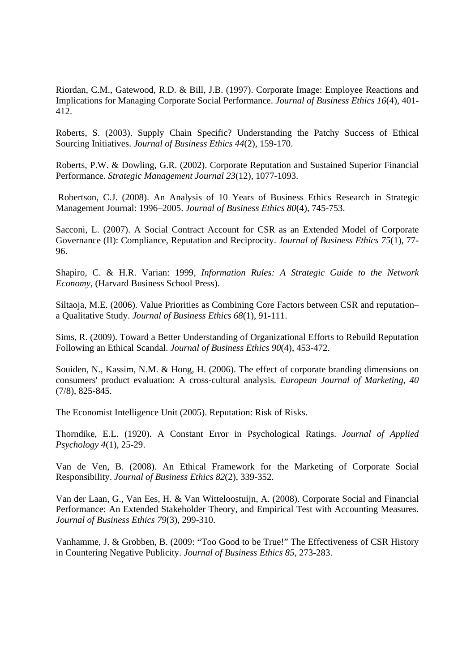Riordan, C.M., Gatewood, R.D. & Bill, J.B. (1997). Corporate Image: Employee Reactions and Implications for Managing Corporate Social Performance. *Journal of Business Ethics 16*(4), 401- 412.

Roberts, S. (2003). Supply Chain Specific? Understanding the Patchy Success of Ethical Sourcing Initiatives. *Journal of Business Ethics 44*(2), 159-170.

Roberts, P.W. & Dowling, G.R. (2002). Corporate Reputation and Sustained Superior Financial Performance. *Strategic Management Journal 23*(12), 1077-1093.

 Robertson, C.J. (2008). An Analysis of 10 Years of Business Ethics Research in Strategic Management Journal: 1996–2005. *Journal of Business Ethics 80*(4), 745-753.

Sacconi, L. (2007). A Social Contract Account for CSR as an Extended Model of Corporate Governance (II): Compliance, Reputation and Reciprocity. *Journal of Business Ethics 75*(1), 77- 96.

Shapiro, C. & H.R. Varian: 1999, *Information Rules: A Strategic Guide to the Network Economy*, (Harvard Business School Press).

Siltaoja, M.E. (2006). Value Priorities as Combining Core Factors between CSR and reputation– a Qualitative Study. *Journal of Business Ethics 68*(1), 91-111.

Sims, R. (2009). Toward a Better Understanding of Organizational Efforts to Rebuild Reputation Following an Ethical Scandal. *Journal of Business Ethics 90*(4), 453-472.

Souiden, N., Kassim, N.M. & Hong, H. (2006). The effect of corporate branding dimensions on consumers' product evaluation: A cross-cultural analysis. *European Journal of Marketing*, *40* (7/8), 825-845.

The Economist Intelligence Unit (2005). Reputation: Risk of Risks.

Thorndike, E.L. (1920). A Constant Error in Psychological Ratings. *Journal of Applied Psychology 4*(1), 25-29.

Van de Ven, B. (2008). An Ethical Framework for the Marketing of Corporate Social Responsibility. *Journal of Business Ethics 82*(2), 339-352.

Van der Laan, G., Van Ees, H. & Van Witteloostuijn, A. (2008). Corporate Social and Financial Performance: An Extended Stakeholder Theory, and Empirical Test with Accounting Measures. *Journal of Business Ethics 79*(3), 299-310.

Vanhamme, J. & Grobben, B. (2009: "Too Good to be True!" The Effectiveness of CSR History in Countering Negative Publicity. *Journal of Business Ethics 85*, 273-283.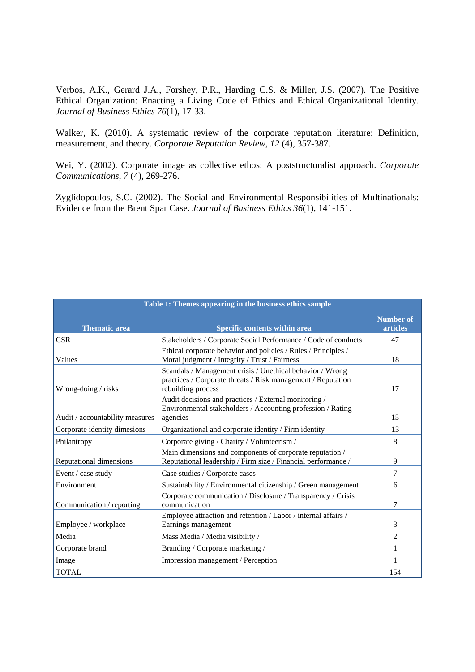Verbos, A.K., Gerard J.A., Forshey, P.R., Harding C.S. & Miller, J.S. (2007). The Positive Ethical Organization: Enacting a Living Code of Ethics and Ethical Organizational Identity. *Journal of Business Ethics 76*(1), 17-33.

Walker, K. (2010). A systematic review of the corporate reputation literature: Definition, measurement, and theory. *Corporate Reputation Review*, *12* (4), 357-387.

Wei, Y. (2002). Corporate image as collective ethos: A poststructuralist approach. *Corporate Communications*, *7* (4), 269-276.

Zyglidopoulos, S.C. (2002). The Social and Environmental Responsibilities of Multinationals: Evidence from the Brent Spar Case. *Journal of Business Ethics 36*(1), 141-151.

| Table 1: Themes appearing in the business ethics sample |                                                                                                                                                 |                                     |  |  |  |  |  |  |
|---------------------------------------------------------|-------------------------------------------------------------------------------------------------------------------------------------------------|-------------------------------------|--|--|--|--|--|--|
| <b>Thematic area</b>                                    | Specific contents within area                                                                                                                   | <b>Number of</b><br><b>articles</b> |  |  |  |  |  |  |
| <b>CSR</b>                                              | Stakeholders / Corporate Social Performance / Code of conducts                                                                                  | 47                                  |  |  |  |  |  |  |
| Values                                                  | Ethical corporate behavior and policies / Rules / Principles /<br>Moral judgment / Integrity / Trust / Fairness                                 | 18                                  |  |  |  |  |  |  |
| Wrong-doing / risks                                     | Scandals / Management crisis / Unethical behavior / Wrong<br>practices / Corporate threats / Risk management / Reputation<br>rebuilding process | 17                                  |  |  |  |  |  |  |
| Audit / accountability measures                         | Audit decisions and practices / External monitoring /<br>Environmental stakeholders / Accounting profession / Rating<br>agencies                | 15                                  |  |  |  |  |  |  |
| Corporate identity dimesions                            | Organizational and corporate identity / Firm identity                                                                                           | 13                                  |  |  |  |  |  |  |
| Philantropy                                             | Corporate giving / Charity / Volunteerism /                                                                                                     | 8                                   |  |  |  |  |  |  |
| Reputational dimensions                                 | Main dimensions and components of corporate reputation /<br>Reputational leadership / Firm size / Financial performance /                       | 9                                   |  |  |  |  |  |  |
| Event / case study                                      | Case studies / Corporate cases                                                                                                                  | 7                                   |  |  |  |  |  |  |
| Environment                                             | Sustainability / Environmental citizenship / Green management                                                                                   | 6                                   |  |  |  |  |  |  |
| Communication / reporting                               | Corporate communication / Disclosure / Transparency / Crisis<br>communication                                                                   | 7                                   |  |  |  |  |  |  |
| Employee / workplace                                    | Employee attraction and retention / Labor / internal affairs /<br>Earnings management                                                           | 3                                   |  |  |  |  |  |  |
| Media                                                   | Mass Media / Media visibility /                                                                                                                 | $\overline{c}$                      |  |  |  |  |  |  |
| Corporate brand                                         | Branding / Corporate marketing /                                                                                                                | 1                                   |  |  |  |  |  |  |
| Image                                                   | Impression management / Perception                                                                                                              |                                     |  |  |  |  |  |  |
| <b>TOTAL</b>                                            |                                                                                                                                                 | 154                                 |  |  |  |  |  |  |